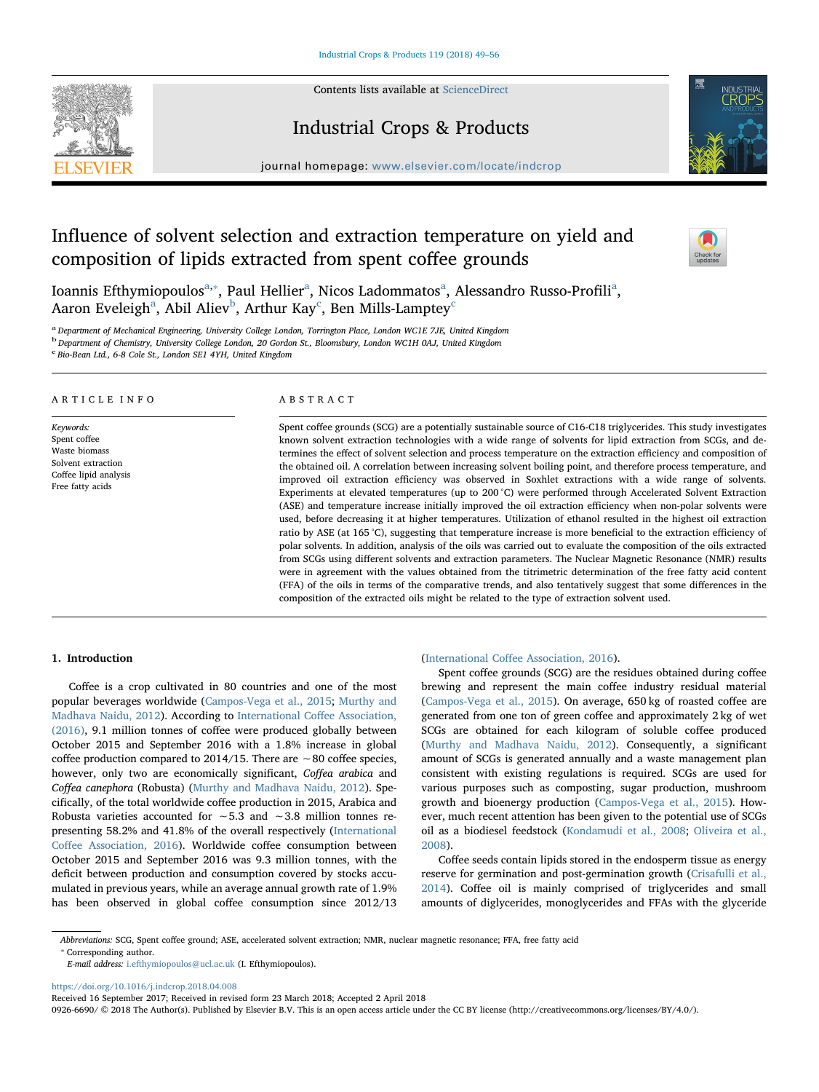Contents lists available at [ScienceDirect](http://www.sciencedirect.com/science/journal/09266690)





## Industrial Crops & Products

journal homepage: [www.elsevier.com/locate/indcrop](https://www.elsevier.com/locate/indcrop)

# Influence of solvent selection and extraction temperature on yield and composition of lipids extracted from spent coffee grounds



Ioannis Efthymiopoulos<sup>[a,](#page-0-0)</sup>\*, P[a](#page-0-0)ul Hellier<sup>a</sup>, Nicos Ladommatos<sup>a</sup>, Alessandro Russo-Profili<sup>a</sup>, A[a](#page-0-0)ron Eveleigh $^{\rm a}$ , A[b](#page-0-2)il Aliev $^{\rm b}$ , Arthur Kay $^{\rm c}$  $^{\rm c}$  $^{\rm c}$ , Ben Mills-Lamptey $^{\rm c}$ 

<span id="page-0-0"></span>a Department of Mechanical Engineering, University College London, Torrington Place, London WC1E 7JE, United Kingdom

<span id="page-0-2"></span><sup>b</sup> Department of Chemistry, University College London, 20 Gordon St., Bloomsbury, London WC1H 0AJ, United Kingdom

<span id="page-0-3"></span>c Bio-Bean Ltd., 6-8 Cole St., London SE1 4YH, United Kingdom

#### ARTICLE INFO

Keywords: Spent coffee Waste biomass Solvent extraction Coffee lipid analysis Free fatty acids

#### ABSTRACT

Spent coffee grounds (SCG) are a potentially sustainable source of C16-C18 triglycerides. This study investigates known solvent extraction technologies with a wide range of solvents for lipid extraction from SCGs, and determines the effect of solvent selection and process temperature on the extraction efficiency and composition of the obtained oil. A correlation between increasing solvent boiling point, and therefore process temperature, and improved oil extraction efficiency was observed in Soxhlet extractions with a wide range of solvents. Experiments at elevated temperatures (up to 200 °C) were performed through Accelerated Solvent Extraction (ASE) and temperature increase initially improved the oil extraction efficiency when non-polar solvents were used, before decreasing it at higher temperatures. Utilization of ethanol resulted in the highest oil extraction ratio by ASE (at 165 °C), suggesting that temperature increase is more beneficial to the extraction efficiency of polar solvents. In addition, analysis of the oils was carried out to evaluate the composition of the oils extracted from SCGs using different solvents and extraction parameters. The Nuclear Magnetic Resonance (NMR) results were in agreement with the values obtained from the titrimetric determination of the free fatty acid content (FFA) of the oils in terms of the comparative trends, and also tentatively suggest that some differences in the composition of the extracted oils might be related to the type of extraction solvent used.

## 1. Introduction

Coffee is a crop cultivated in 80 countries and one of the most popular beverages worldwide [\(Campos-Vega et al., 2015](#page-7-0); [Murthy and](#page-7-1) [Madhava Naidu, 2012\)](#page-7-1). According to [International Co](#page-7-2)ffee Association, [\(2016\),](#page-7-2) 9.1 million tonnes of coffee were produced globally between October 2015 and September 2016 with a 1.8% increase in global coffee production compared to 2014/15. There are ∼80 coffee species, however, only two are economically significant, Coffea arabica and Coffea canephora (Robusta) [\(Murthy and Madhava Naidu, 2012](#page-7-1)). Specifically, of the total worldwide coffee production in 2015, Arabica and Robusta varieties accounted for ∼5.3 and ∼3.8 million tonnes representing 58.2% and 41.8% of the overall respectively ([International](#page-7-2) Coff[ee Association, 2016\)](#page-7-2). Worldwide coffee consumption between October 2015 and September 2016 was 9.3 million tonnes, with the deficit between production and consumption covered by stocks accumulated in previous years, while an average annual growth rate of 1.9% has been observed in global coffee consumption since 2012/13

## (International Coff[ee Association, 2016](#page-7-2)).

Spent coffee grounds (SCG) are the residues obtained during coffee brewing and represent the main coffee industry residual material ([Campos-Vega et al., 2015](#page-7-0)). On average, 650 kg of roasted coffee are generated from one ton of green coffee and approximately 2 kg of wet SCGs are obtained for each kilogram of soluble coffee produced ([Murthy and Madhava Naidu, 2012](#page-7-1)). Consequently, a significant amount of SCGs is generated annually and a waste management plan consistent with existing regulations is required. SCGs are used for various purposes such as composting, sugar production, mushroom growth and bioenergy production ([Campos-Vega et al., 2015\)](#page-7-0). However, much recent attention has been given to the potential use of SCGs oil as a biodiesel feedstock [\(Kondamudi et al., 2008](#page-7-3); [Oliveira](#page-7-4) et al., [2008\)](#page-7-4).

Coffee seeds contain lipids stored in the endosperm tissue as energy reserve for germination and post-germination growth ([Crisafulli et al.,](#page-7-5) [2014\)](#page-7-5). Coffee oil is mainly comprised of triglycerides and small amounts of diglycerides, monoglycerides and FFAs with the glyceride

<span id="page-0-1"></span>Abbreviations: SCG, Spent coffee ground; ASE, accelerated solvent extraction; NMR, nuclear magnetic resonance; FFA, free fatty acid

⁎ Corresponding author.

E-mail address: [i.efthymiopoulos@ucl.ac.uk](mailto:i.efthymiopoulos@ucl.ac.uk) (I. Efthymiopoulos).

<https://doi.org/10.1016/j.indcrop.2018.04.008>

Received 16 September 2017; Received in revised form 23 March 2018; Accepted 2 April 2018

0926-6690/ © 2018 The Author(s). Published by Elsevier B.V. This is an open access article under the CC BY license (http://creativecommons.org/licenses/BY/4.0/).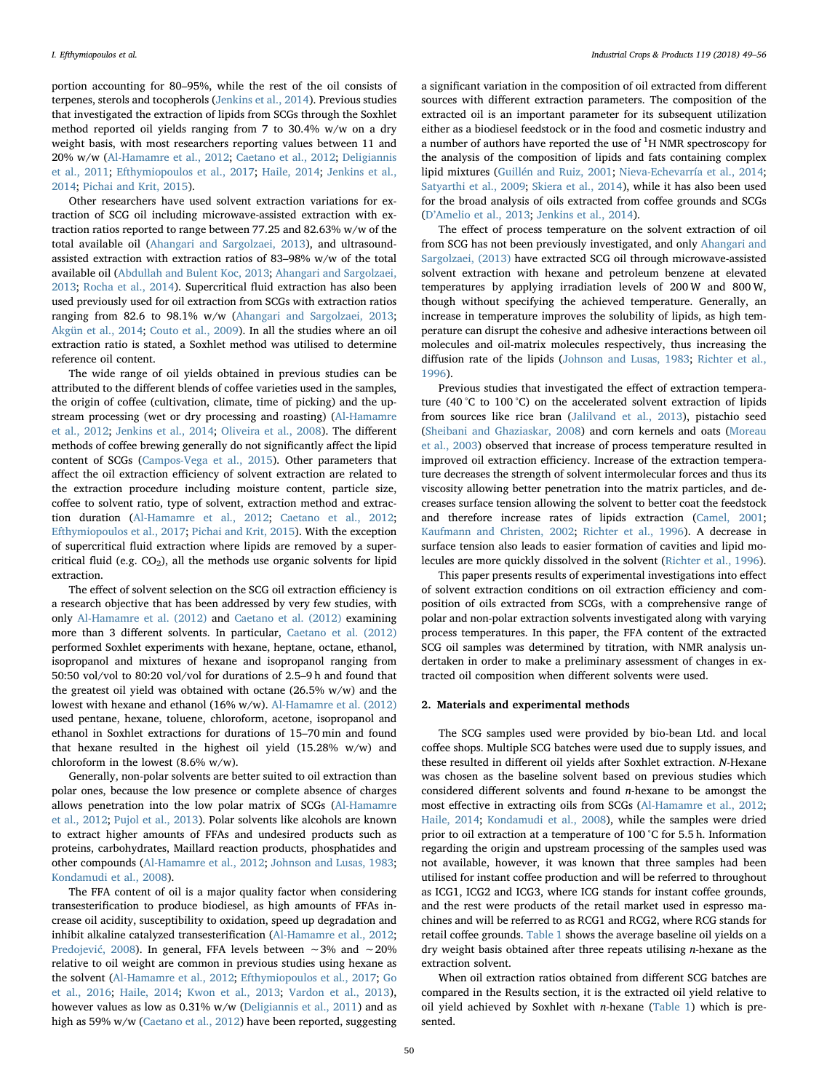portion accounting for 80–95%, while the rest of the oil consists of terpenes, sterols and tocopherols [\(Jenkins et al., 2014\)](#page-7-6). Previous studies that investigated the extraction of lipids from SCGs through the Soxhlet method reported oil yields ranging from 7 to 30.4% w/w on a dry weight basis, with most researchers reporting values between 11 and 20% w/w [\(Al-Hamamre et al., 2012;](#page-6-0) [Caetano et al., 2012](#page-6-1); [Deligiannis](#page-7-7) [et al., 2011](#page-7-7); [Efthymiopoulos et al., 2017](#page-7-8); [Haile, 2014;](#page-7-9) [Jenkins et al.,](#page-7-6) [2014;](#page-7-6) [Pichai and Krit, 2015\)](#page-7-10).

Other researchers have used solvent extraction variations for extraction of SCG oil including microwave-assisted extraction with extraction ratios reported to range between 77.25 and 82.63% w/w of the total available oil [\(Ahangari and Sargolzaei, 2013](#page-6-2)), and ultrasoundassisted extraction with extraction ratios of 83–98% w/w of the total available oil ([Abdullah and Bulent Koc, 2013](#page-6-3); [Ahangari and Sargolzaei,](#page-6-2) [2013;](#page-6-2) [Rocha et al., 2014\)](#page-7-11). Supercritical fluid extraction has also been used previously used for oil extraction from SCGs with extraction ratios ranging from 82.6 to 98.1% w/w ([Ahangari and Sargolzaei, 2013](#page-6-2); [Akgün et al., 2014](#page-6-4); [Couto et al., 2009](#page-7-12)). In all the studies where an oil extraction ratio is stated, a Soxhlet method was utilised to determine reference oil content.

The wide range of oil yields obtained in previous studies can be attributed to the different blends of coffee varieties used in the samples, the origin of coffee (cultivation, climate, time of picking) and the upstream processing (wet or dry processing and roasting) ([Al-Hamamre](#page-6-0) [et al., 2012](#page-6-0); [Jenkins et al., 2014;](#page-7-6) [Oliveira et al., 2008\)](#page-7-4). The different methods of coffee brewing generally do not significantly affect the lipid content of SCGs [\(Campos-Vega et al., 2015](#page-7-0)). Other parameters that affect the oil extraction efficiency of solvent extraction are related to the extraction procedure including moisture content, particle size, coffee to solvent ratio, type of solvent, extraction method and extraction duration ([Al-Hamamre et al., 2012;](#page-6-0) [Caetano et al., 2012](#page-6-1); [Efthymiopoulos et al., 2017](#page-7-8); [Pichai and Krit, 2015\)](#page-7-10). With the exception of supercritical fluid extraction where lipids are removed by a supercritical fluid (e.g.  $CO<sub>2</sub>$ ), all the methods use organic solvents for lipid extraction.

The effect of solvent selection on the SCG oil extraction efficiency is a research objective that has been addressed by very few studies, with only [Al-Hamamre et al. \(2012\)](#page-6-0) and [Caetano et al. \(2012\)](#page-6-1) examining more than 3 different solvents. In particular, [Caetano et al. \(2012\)](#page-6-1) performed Soxhlet experiments with hexane, heptane, octane, ethanol, isopropanol and mixtures of hexane and isopropanol ranging from 50:50 vol/vol to 80:20 vol/vol for durations of 2.5–9 h and found that the greatest oil yield was obtained with octane (26.5% w/w) and the lowest with hexane and ethanol (16% w/w). [Al-Hamamre et al. \(2012\)](#page-6-0) used pentane, hexane, toluene, chloroform, acetone, isopropanol and ethanol in Soxhlet extractions for durations of 15–70 min and found that hexane resulted in the highest oil yield (15.28% w/w) and chloroform in the lowest (8.6% w/w).

Generally, non-polar solvents are better suited to oil extraction than polar ones, because the low presence or complete absence of charges allows penetration into the low polar matrix of SCGs ([Al-Hamamre](#page-6-0) [et al., 2012](#page-6-0); [Pujol et al., 2013](#page-7-13)). Polar solvents like alcohols are known to extract higher amounts of FFAs and undesired products such as proteins, carbohydrates, Maillard reaction products, phosphatides and other compounds ([Al-Hamamre et al., 2012](#page-6-0); [Johnson and Lusas, 1983](#page-7-14); [Kondamudi et al., 2008\)](#page-7-3).

The FFA content of oil is a major quality factor when considering transesterification to produce biodiesel, as high amounts of FFAs increase oil acidity, susceptibility to oxidation, speed up degradation and inhibit alkaline catalyzed transesterification ([Al-Hamamre et al., 2012](#page-6-0); [Predojevi](#page-7-15)ć, 2008). In general, FFA levels between ∼3% and ∼20% relative to oil weight are common in previous studies using hexane as the solvent [\(Al-Hamamre et al., 2012](#page-6-0); [Efthymiopoulos et al., 2017;](#page-7-8) [Go](#page-7-16) [et al., 2016](#page-7-16); [Haile, 2014](#page-7-9); [Kwon et al., 2013;](#page-7-17) [Vardon et al., 2013](#page-7-18)), however values as low as 0.31% w/w ([Deligiannis et al., 2011](#page-7-7)) and as high as 59% w/w [\(Caetano et al., 2012\)](#page-6-1) have been reported, suggesting a significant variation in the composition of oil extracted from different sources with different extraction parameters. The composition of the extracted oil is an important parameter for its subsequent utilization either as a biodiesel feedstock or in the food and cosmetic industry and a number of authors have reported the use of  ${}^{1}$ H NMR spectroscopy for the analysis of the composition of lipids and fats containing complex lipid mixtures [\(Guillén and Ruiz, 2001;](#page-7-19) [Nieva-Echevarría et al., 2014](#page-7-20); [Satyarthi et al., 2009](#page-7-21); [Skiera et al., 2014\)](#page-7-22), while it has also been used for the broad analysis of oils extracted from coffee grounds and SCGs (D'[Amelio et al., 2013;](#page-7-23) [Jenkins et al., 2014\)](#page-7-6).

The effect of process temperature on the solvent extraction of oil from SCG has not been previously investigated, and only [Ahangari and](#page-6-2) [Sargolzaei, \(2013\)](#page-6-2) have extracted SCG oil through microwave-assisted solvent extraction with hexane and petroleum benzene at elevated temperatures by applying irradiation levels of 200 W and 800 W, though without specifying the achieved temperature. Generally, an increase in temperature improves the solubility of lipids, as high temperature can disrupt the cohesive and adhesive interactions between oil molecules and oil-matrix molecules respectively, thus increasing the diffusion rate of the lipids [\(Johnson and Lusas, 1983;](#page-7-14) [Richter et al.,](#page-7-24) [1996\)](#page-7-24).

Previous studies that investigated the effect of extraction temperature (40 °C to 100 °C) on the accelerated solvent extraction of lipids from sources like rice bran ([Jalilvand et al., 2013\)](#page-7-25), pistachio seed ([Sheibani and Ghaziaskar, 2008\)](#page-7-26) and corn kernels and oats ([Moreau](#page-7-27) [et al., 2003](#page-7-27)) observed that increase of process temperature resulted in improved oil extraction efficiency. Increase of the extraction temperature decreases the strength of solvent intermolecular forces and thus its viscosity allowing better penetration into the matrix particles, and decreases surface tension allowing the solvent to better coat the feedstock and therefore increase rates of lipids extraction ([Camel, 2001](#page-6-5); [Kaufmann and Christen, 2002;](#page-7-28) [Richter et al., 1996](#page-7-24)). A decrease in surface tension also leads to easier formation of cavities and lipid molecules are more quickly dissolved in the solvent [\(Richter et al., 1996](#page-7-24)).

This paper presents results of experimental investigations into effect of solvent extraction conditions on oil extraction efficiency and composition of oils extracted from SCGs, with a comprehensive range of polar and non-polar extraction solvents investigated along with varying process temperatures. In this paper, the FFA content of the extracted SCG oil samples was determined by titration, with NMR analysis undertaken in order to make a preliminary assessment of changes in extracted oil composition when different solvents were used.

#### 2. Materials and experimental methods

The SCG samples used were provided by bio-bean Ltd. and local coffee shops. Multiple SCG batches were used due to supply issues, and these resulted in different oil yields after Soxhlet extraction. N-Hexane was chosen as the baseline solvent based on previous studies which considered different solvents and found n-hexane to be amongst the most effective in extracting oils from SCGs [\(Al-Hamamre et al., 2012](#page-6-0); [Haile, 2014;](#page-7-9) [Kondamudi et al., 2008](#page-7-3)), while the samples were dried prior to oil extraction at a temperature of 100 °C for 5.5 h. Information regarding the origin and upstream processing of the samples used was not available, however, it was known that three samples had been utilised for instant coffee production and will be referred to throughout as ICG1, ICG2 and ICG3, where ICG stands for instant coffee grounds, and the rest were products of the retail market used in espresso machines and will be referred to as RCG1 and RCG2, where RCG stands for retail coffee grounds. [Table 1](#page-2-0) shows the average baseline oil yields on a dry weight basis obtained after three repeats utilising n-hexane as the extraction solvent.

When oil extraction ratios obtained from different SCG batches are compared in the Results section, it is the extracted oil yield relative to oil yield achieved by Soxhlet with *n*-hexane [\(Table 1\)](#page-2-0) which is presented.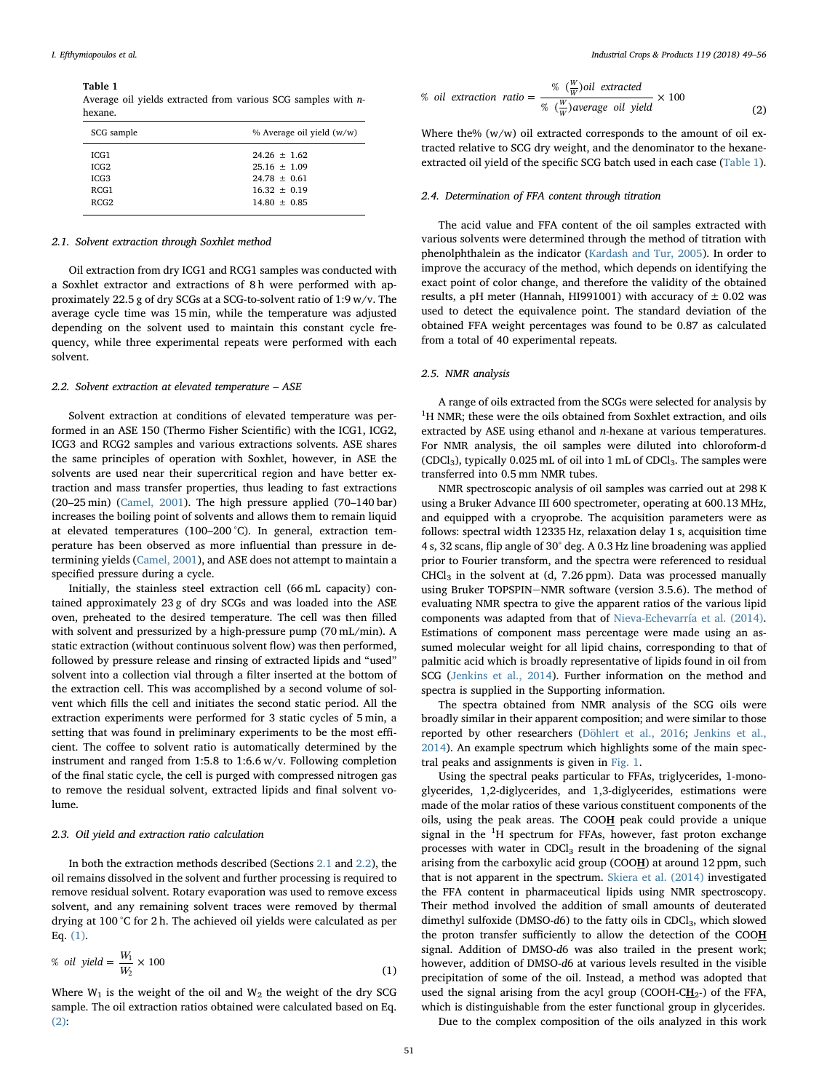<span id="page-2-0"></span>Table 1

Average oil yields extracted from various SCG samples with nhexane.

| SCG sample | % Average oil yield (w/w) |  |  |  |
|------------|---------------------------|--|--|--|
| ICG1       | $24.26 + 1.62$            |  |  |  |
| ICG2       | $25.16 + 1.09$            |  |  |  |
| ICG3       | $24.78 + 0.61$            |  |  |  |
| RCG1       | $16.32 + 0.19$            |  |  |  |
| RCG2       | $14.80 \pm 0.85$          |  |  |  |

#### <span id="page-2-1"></span>2.1. Solvent extraction through Soxhlet method

Oil extraction from dry ICG1 and RCG1 samples was conducted with a Soxhlet extractor and extractions of 8 h were performed with approximately 22.5 g of dry SCGs at a SCG-to-solvent ratio of 1:9 w/v. The average cycle time was 15 min, while the temperature was adjusted depending on the solvent used to maintain this constant cycle frequency, while three experimental repeats were performed with each solvent.

## <span id="page-2-2"></span>2.2. Solvent extraction at elevated temperature – ASE

Solvent extraction at conditions of elevated temperature was performed in an ASE 150 (Thermo Fisher Scientific) with the ICG1, ICG2, ICG3 and RCG2 samples and various extractions solvents. ASE shares the same principles of operation with Soxhlet, however, in ASE the solvents are used near their supercritical region and have better extraction and mass transfer properties, thus leading to fast extractions (20–25 min) ([Camel, 2001\)](#page-6-5). The high pressure applied (70–140 bar) increases the boiling point of solvents and allows them to remain liquid at elevated temperatures (100–200 °C). In general, extraction temperature has been observed as more influential than pressure in determining yields ([Camel, 2001\)](#page-6-5), and ASE does not attempt to maintain a specified pressure during a cycle.

Initially, the stainless steel extraction cell (66 mL capacity) contained approximately 23 g of dry SCGs and was loaded into the ASE oven, preheated to the desired temperature. The cell was then filled with solvent and pressurized by a high-pressure pump (70 mL/min). A static extraction (without continuous solvent flow) was then performed, followed by pressure release and rinsing of extracted lipids and "used" solvent into a collection vial through a filter inserted at the bottom of the extraction cell. This was accomplished by a second volume of solvent which fills the cell and initiates the second static period. All the extraction experiments were performed for 3 static cycles of 5 min, a setting that was found in preliminary experiments to be the most efficient. The coffee to solvent ratio is automatically determined by the instrument and ranged from 1:5.8 to 1:6.6 w/v. Following completion of the final static cycle, the cell is purged with compressed nitrogen gas to remove the residual solvent, extracted lipids and final solvent volume.

## 2.3. Oil yield and extraction ratio calculation

In both the extraction methods described (Sections [2.1](#page-2-1) and [2.2](#page-2-2)), the oil remains dissolved in the solvent and further processing is required to remove residual solvent. Rotary evaporation was used to remove excess solvent, and any remaining solvent traces were removed by thermal drying at 100 °C for 2 h. The achieved oil yields were calculated as per Eq. [\(1\)](#page-2-3).

<span id="page-2-3"></span>% oil yield = 
$$
\frac{W_1}{W_2} \times 100
$$
 (1)

<span id="page-2-4"></span>Where  $W_1$  is the weight of the oil and  $W_2$  the weight of the dry SCG sample. The oil extraction ratios obtained were calculated based on Eq. [\(2\)](#page-2-4):

% oil extraction ratio = 
$$
\frac{\% (\frac{W}{W}) oil extracted}{\% (\frac{W}{W}) average oil yield} \times 100
$$
 (2)

Where the% (w/w) oil extracted corresponds to the amount of oil extracted relative to SCG dry weight, and the denominator to the hexaneextracted oil yield of the specific SCG batch used in each case [\(Table 1](#page-2-0)).

## 2.4. Determination of FFA content through titration

The acid value and FFA content of the oil samples extracted with various solvents were determined through the method of titration with phenolphthalein as the indicator ([Kardash and Tur, 2005](#page-7-29)). In order to improve the accuracy of the method, which depends on identifying the exact point of color change, and therefore the validity of the obtained results, a pH meter (Hannah, HI991001) with accuracy of  $\pm$  0.02 was used to detect the equivalence point. The standard deviation of the obtained FFA weight percentages was found to be 0.87 as calculated from a total of 40 experimental repeats.

#### <span id="page-2-5"></span>2.5. NMR analysis

A range of oils extracted from the SCGs were selected for analysis by <sup>1</sup>H NMR; these were the oils obtained from Soxhlet extraction, and oils extracted by ASE using ethanol and n-hexane at various temperatures. For NMR analysis, the oil samples were diluted into chloroform-d (CDCl<sub>3</sub>), typically 0.025 mL of oil into 1 mL of CDCl<sub>3</sub>. The samples were transferred into 0.5 mm NMR tubes.

NMR spectroscopic analysis of oil samples was carried out at 298 K using a Bruker Advance III 600 spectrometer, operating at 600.13 MHz, and equipped with a cryoprobe. The acquisition parameters were as follows: spectral width 12335 Hz, relaxation delay 1 s, acquisition time 4 s, 32 scans, flip angle of 30° deg. A 0.3 Hz line broadening was applied prior to Fourier transform, and the spectra were referenced to residual  $CHCl<sub>3</sub>$  in the solvent at (d, 7.26 ppm). Data was processed manually using Bruker TOPSPIN-NMR software (version 3.5.6). The method of evaluating NMR spectra to give the apparent ratios of the various lipid components was adapted from that of [Nieva-Echevarría et al. \(2014\)](#page-7-20). Estimations of component mass percentage were made using an assumed molecular weight for all lipid chains, corresponding to that of palmitic acid which is broadly representative of lipids found in oil from SCG [\(Jenkins et al., 2014\)](#page-7-6). Further information on the method and spectra is supplied in the Supporting information.

The spectra obtained from NMR analysis of the SCG oils were broadly similar in their apparent composition; and were similar to those reported by other researchers ([Döhlert et al., 2016;](#page-7-30) [Jenkins et al.,](#page-7-6) [2014\)](#page-7-6). An example spectrum which highlights some of the main spectral peaks and assignments is given in [Fig. 1.](#page-3-0)

Using the spectral peaks particular to FFAs, triglycerides, 1-monoglycerides, 1,2-diglycerides, and 1,3-diglycerides, estimations were made of the molar ratios of these various constituent components of the oils, using the peak areas. The COO $H$  peak could provide a unique signal in the  ${}^{1}H$  spectrum for FFAs, however, fast proton exchange processes with water in  $CDCl<sub>3</sub>$  result in the broadening of the signal arising from the carboxylic acid group (COOH) at around 12 ppm, such that is not apparent in the spectrum. [Skiera et al. \(2014\)](#page-7-22) investigated the FFA content in pharmaceutical lipids using NMR spectroscopy. Their method involved the addition of small amounts of deuterated dimethyl sulfoxide (DMSO-d6) to the fatty oils in CDCl<sub>3</sub>, which slowed the proton transfer sufficiently to allow the detection of the COOH signal. Addition of DMSO-d6 was also trailed in the present work; however, addition of DMSO-d6 at various levels resulted in the visible precipitation of some of the oil. Instead, a method was adopted that used the signal arising from the acyl group (COOH-C $H_{2}$ -) of the FFA, which is distinguishable from the ester functional group in glycerides.

Due to the complex composition of the oils analyzed in this work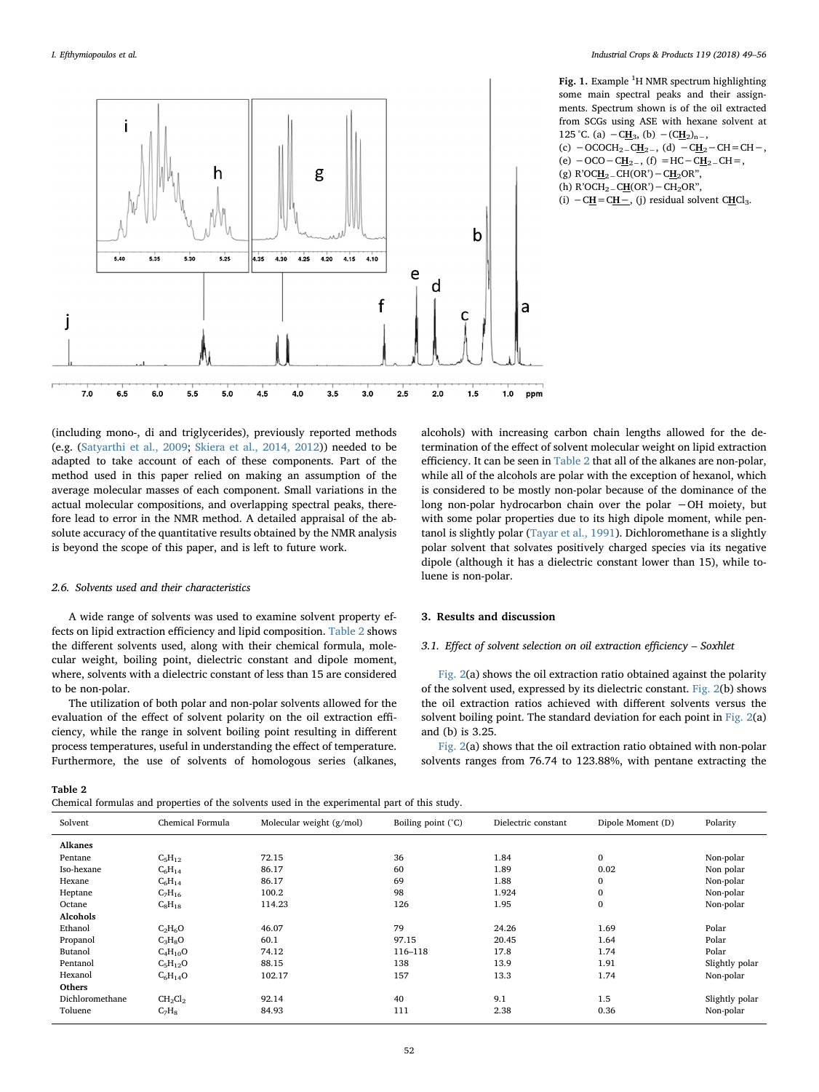<span id="page-3-0"></span>

(including mono-, di and triglycerides), previously reported methods (e.g. [\(Satyarthi et al., 2009;](#page-7-21) [Skiera et al., 2014, 2012](#page-7-22))) needed to be adapted to take account of each of these components. Part of the method used in this paper relied on making an assumption of the average molecular masses of each component. Small variations in the actual molecular compositions, and overlapping spectral peaks, therefore lead to error in the NMR method. A detailed appraisal of the absolute accuracy of the quantitative results obtained by the NMR analysis is beyond the scope of this paper, and is left to future work.

## 2.6. Solvents used and their characteristics

A wide range of solvents was used to examine solvent property effects on lipid extraction efficiency and lipid composition. [Table 2](#page-3-1) shows the different solvents used, along with their chemical formula, molecular weight, boiling point, dielectric constant and dipole moment, where, solvents with a dielectric constant of less than 15 are considered to be non-polar.

The utilization of both polar and non-polar solvents allowed for the evaluation of the effect of solvent polarity on the oil extraction efficiency, while the range in solvent boiling point resulting in different process temperatures, useful in understanding the effect of temperature. Furthermore, the use of solvents of homologous series (alkanes,

Fig. 1. Example  ${}^{1}$ H NMR spectrum highlighting some main spectral peaks and their assignments. Spectrum shown is of the oil extracted from SCGs using ASE with hexane solvent at 125 °C. (a)  $-CH_3$ , (b)  $-(CH_2)_{n-2}$ (c)  $-$  OCOCH<sub>2</sub> – CH<sub>2</sub> – , (d)  $-$ C<u>H</u><sub>2</sub> – CH = CH – , (e)  $-$ OCO  $-$  C<u>H</u><sub>2</sub><sub>−</sub>, (f) = HC  $-$  C<u>H</u><sub>2</sub><sub>−</sub> CH = , (g) R'OC $\underline{H}_2$ <sub>-</sub>CH(OR') – C $\underline{H}_2$ OR", (h)  $R'OCH_2$  –  $CH(OR')$  –  $CH_2OR''$ , (i)  $-CH = CH -$ , (j) residual solvent CHCl<sub>3</sub>.

alcohols) with increasing carbon chain lengths allowed for the determination of the effect of solvent molecular weight on lipid extraction efficiency. It can be seen in [Table 2](#page-3-1) that all of the alkanes are non-polar, while all of the alcohols are polar with the exception of hexanol, which is considered to be mostly non-polar because of the dominance of the long non-polar hydrocarbon chain over the polar −OH moiety, but with some polar properties due to its high dipole moment, while pentanol is slightly polar ([Tayar et al., 1991\)](#page-7-31). Dichloromethane is a slightly polar solvent that solvates positively charged species via its negative dipole (although it has a dielectric constant lower than 15), while toluene is non-polar.

#### 3. Results and discussion

#### 3.1. Effect of solvent selection on oil extraction efficiency – Soxhlet

[Fig. 2\(](#page-4-0)a) shows the oil extraction ratio obtained against the polarity of the solvent used, expressed by its dielectric constant. [Fig. 2\(](#page-4-0)b) shows the oil extraction ratios achieved with different solvents versus the solvent boiling point. The standard deviation for each point in [Fig. 2\(](#page-4-0)a) and (b) is 3.25.

[Fig. 2\(](#page-4-0)a) shows that the oil extraction ratio obtained with non-polar solvents ranges from 76.74 to 123.88%, with pentane extracting the

<span id="page-3-1"></span>Table 2

Chemical formulas and properties of the solvents used in the experimental part of this study.

| Chemical Formula<br>Solvent |              | Molecular weight $(g/mol)$ | Boiling point (°C) | Dielectric constant | Dipole Moment (D) | Polarity       |  |
|-----------------------------|--------------|----------------------------|--------------------|---------------------|-------------------|----------------|--|
| Alkanes                     |              |                            |                    |                     |                   |                |  |
| Pentane                     | $C_5H_{12}$  | 72.15                      | 36                 | 1.84                | $\mathbf{0}$      | Non-polar      |  |
| Iso-hexane                  | $C_6H_{14}$  | 86.17                      | 60                 | 1.89                | 0.02              | Non polar      |  |
| Hexane                      | $C_6H_{14}$  | 86.17                      | 69                 | 1.88                | $\mathbf{0}$      | Non-polar      |  |
| Heptane                     | $C_7H_{16}$  | 100.2                      | 98                 | 1.924               | $\mathbf{0}$      | Non-polar      |  |
| Octane                      | $C_8H_{18}$  | 114.23                     | 126                | 1.95                | $\bf{0}$          | Non-polar      |  |
| Alcohols                    |              |                            |                    |                     |                   |                |  |
| Ethanol                     | $C_2H_6O$    | 46.07                      | 79                 | 24.26               | 1.69              | Polar          |  |
| Propanol                    | $C_3H_8O$    | 60.1                       | 97.15              | 20.45               | 1.64              | Polar          |  |
| Butanol                     | $C_4H_{10}O$ | 74.12                      | 116-118            | 17.8                | 1.74              | Polar          |  |
| Pentanol                    | $C_5H_{12}O$ | 88.15                      | 138                | 13.9                | 1.91              | Slightly polar |  |
| Hexanol                     | $C_6H_{14}O$ | 102.17                     | 157                | 13.3                | 1.74              | Non-polar      |  |
| <b>Others</b>               |              |                            |                    |                     |                   |                |  |
| Dichloromethane             | $CH_2Cl_2$   | 92.14                      | 40                 | 9.1                 | 1.5               | Slightly polar |  |
| Toluene                     | $C_7H_8$     | 84.93                      | 111                | 2.38                | 0.36              | Non-polar      |  |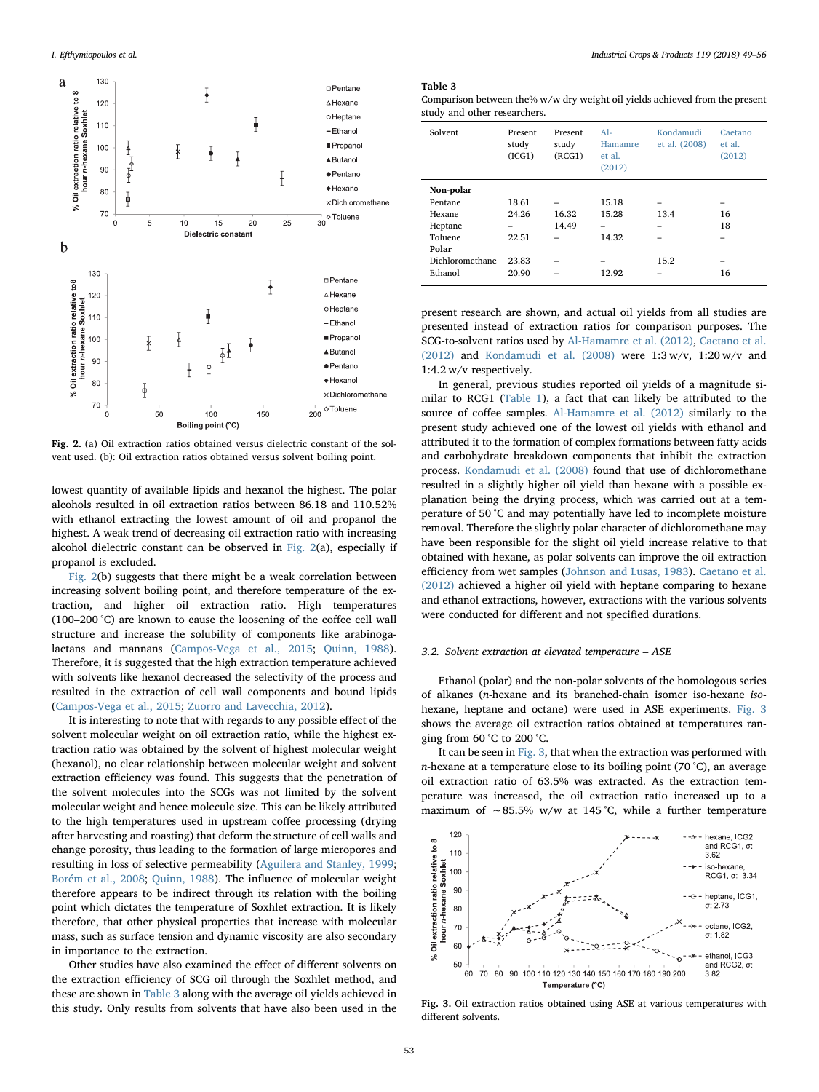<span id="page-4-0"></span>

Fig. 2. (a) Oil extraction ratios obtained versus dielectric constant of the solvent used. (b): Oil extraction ratios obtained versus solvent boiling point.

lowest quantity of available lipids and hexanol the highest. The polar alcohols resulted in oil extraction ratios between 86.18 and 110.52% with ethanol extracting the lowest amount of oil and propanol the highest. A weak trend of decreasing oil extraction ratio with increasing alcohol dielectric constant can be observed in [Fig. 2\(](#page-4-0)a), especially if propanol is excluded.

[Fig. 2\(](#page-4-0)b) suggests that there might be a weak correlation between increasing solvent boiling point, and therefore temperature of the extraction, and higher oil extraction ratio. High temperatures (100–200 °C) are known to cause the loosening of the coffee cell wall structure and increase the solubility of components like arabinogalactans and mannans [\(Campos-Vega et al., 2015;](#page-7-0) [Quinn, 1988](#page-7-32)). Therefore, it is suggested that the high extraction temperature achieved with solvents like hexanol decreased the selectivity of the process and resulted in the extraction of cell wall components and bound lipids ([Campos-Vega et al., 2015;](#page-7-0) [Zuorro and Lavecchia, 2012\)](#page-7-33).

It is interesting to note that with regards to any possible effect of the solvent molecular weight on oil extraction ratio, while the highest extraction ratio was obtained by the solvent of highest molecular weight (hexanol), no clear relationship between molecular weight and solvent extraction efficiency was found. This suggests that the penetration of the solvent molecules into the SCGs was not limited by the solvent molecular weight and hence molecule size. This can be likely attributed to the high temperatures used in upstream coffee processing (drying after harvesting and roasting) that deform the structure of cell walls and change porosity, thus leading to the formation of large micropores and resulting in loss of selective permeability [\(Aguilera and Stanley, 1999](#page-6-6); [Borém et al., 2008](#page-6-7); [Quinn, 1988\)](#page-7-32). The influence of molecular weight therefore appears to be indirect through its relation with the boiling point which dictates the temperature of Soxhlet extraction. It is likely therefore, that other physical properties that increase with molecular mass, such as surface tension and dynamic viscosity are also secondary in importance to the extraction.

Other studies have also examined the effect of different solvents on the extraction efficiency of SCG oil through the Soxhlet method, and these are shown in [Table 3](#page-4-1) along with the average oil yields achieved in this study. Only results from solvents that have also been used in the

#### <span id="page-4-1"></span>Table 3

Comparison between the% w/w dry weight oil yields achieved from the present study and other researchers.

| Solvent         | Present<br>study<br>(ICG1) | Present<br>study<br>(RCG1) | $A1-$<br>Hamamre<br>et al.<br>(2012) | Kondamudi<br>et al. (2008) |    |
|-----------------|----------------------------|----------------------------|--------------------------------------|----------------------------|----|
| Non-polar       |                            |                            |                                      |                            |    |
| Pentane         | 18.61                      |                            | 15.18                                | -                          | -  |
| Hexane          | 24.26                      | 16.32                      | 15.28                                | 13.4                       | 16 |
| Heptane         | -                          | 14.49                      | -                                    | -                          | 18 |
| Toluene         | 22.51                      |                            | 14.32                                |                            |    |
| Polar           |                            |                            |                                      |                            |    |
| Dichloromethane | 23.83                      |                            | -                                    | 15.2                       | -  |
| Ethanol         | 20.90                      |                            | 12.92                                | -                          | 16 |

present research are shown, and actual oil yields from all studies are presented instead of extraction ratios for comparison purposes. The SCG-to-solvent ratios used by [Al-Hamamre et al. \(2012\)](#page-6-0), [Caetano et al.](#page-6-1) [\(2012\)](#page-6-1) and [Kondamudi et al. \(2008\)](#page-7-3) were 1:3 w/v, 1:20 w/v and 1:4.2 w/v respectively.

In general, previous studies reported oil yields of a magnitude similar to RCG1 ([Table 1](#page-2-0)), a fact that can likely be attributed to the source of coffee samples. [Al-Hamamre et al. \(2012\)](#page-6-0) similarly to the present study achieved one of the lowest oil yields with ethanol and attributed it to the formation of complex formations between fatty acids and carbohydrate breakdown components that inhibit the extraction process. [Kondamudi et al. \(2008\)](#page-7-3) found that use of dichloromethane resulted in a slightly higher oil yield than hexane with a possible explanation being the drying process, which was carried out at a temperature of 50 °C and may potentially have led to incomplete moisture removal. Therefore the slightly polar character of dichloromethane may have been responsible for the slight oil yield increase relative to that obtained with hexane, as polar solvents can improve the oil extraction efficiency from wet samples [\(Johnson and Lusas, 1983\)](#page-7-14). [Caetano et al.](#page-6-1) [\(2012\)](#page-6-1) achieved a higher oil yield with heptane comparing to hexane and ethanol extractions, however, extractions with the various solvents were conducted for different and not specified durations.

## 3.2. Solvent extraction at elevated temperature – ASE

Ethanol (polar) and the non-polar solvents of the homologous series of alkanes (n-hexane and its branched-chain isomer iso-hexane isohexane, heptane and octane) were used in ASE experiments. [Fig. 3](#page-4-2) shows the average oil extraction ratios obtained at temperatures ranging from 60 °C to 200 °C.

It can be seen in [Fig. 3](#page-4-2), that when the extraction was performed with n-hexane at a temperature close to its boiling point (70 °C), an average oil extraction ratio of 63.5% was extracted. As the extraction temperature was increased, the oil extraction ratio increased up to a maximum of ∼85.5% w/w at 145 °C, while a further temperature

<span id="page-4-2"></span>

Fig. 3. Oil extraction ratios obtained using ASE at various temperatures with different solvents.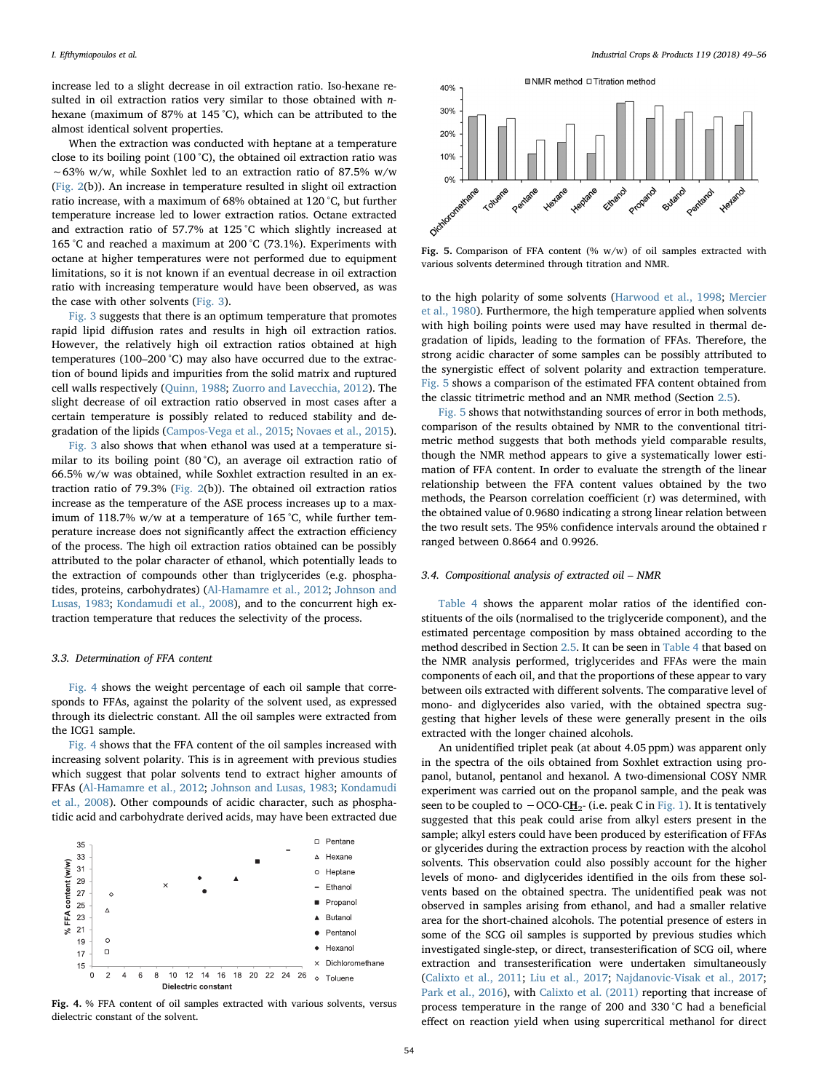increase led to a slight decrease in oil extraction ratio. Iso-hexane resulted in oil extraction ratios very similar to those obtained with nhexane (maximum of 87% at 145 °C), which can be attributed to the almost identical solvent properties.

When the extraction was conducted with heptane at a temperature close to its boiling point (100 °C), the obtained oil extraction ratio was ∼63% w/w, while Soxhlet led to an extraction ratio of 87.5% w/w ([Fig. 2\(](#page-4-0)b)). An increase in temperature resulted in slight oil extraction ratio increase, with a maximum of 68% obtained at 120 °C, but further temperature increase led to lower extraction ratios. Octane extracted and extraction ratio of 57.7% at 125 °C which slightly increased at 165 °C and reached a maximum at 200 °C (73.1%). Experiments with octane at higher temperatures were not performed due to equipment limitations, so it is not known if an eventual decrease in oil extraction ratio with increasing temperature would have been observed, as was the case with other solvents ([Fig. 3](#page-4-2)).

[Fig. 3](#page-4-2) suggests that there is an optimum temperature that promotes rapid lipid diffusion rates and results in high oil extraction ratios. However, the relatively high oil extraction ratios obtained at high temperatures (100–200 °C) may also have occurred due to the extraction of bound lipids and impurities from the solid matrix and ruptured cell walls respectively [\(Quinn, 1988](#page-7-32); [Zuorro and Lavecchia, 2012\)](#page-7-33). The slight decrease of oil extraction ratio observed in most cases after a certain temperature is possibly related to reduced stability and degradation of the lipids [\(Campos-Vega et al., 2015](#page-7-0); [Novaes et al., 2015](#page-7-34)).

[Fig. 3](#page-4-2) also shows that when ethanol was used at a temperature similar to its boiling point (80 °C), an average oil extraction ratio of 66.5% w/w was obtained, while Soxhlet extraction resulted in an extraction ratio of 79.3% [\(Fig. 2](#page-4-0)(b)). The obtained oil extraction ratios increase as the temperature of the ASE process increases up to a maximum of 118.7% w/w at a temperature of 165 °C, while further temperature increase does not significantly affect the extraction efficiency of the process. The high oil extraction ratios obtained can be possibly attributed to the polar character of ethanol, which potentially leads to the extraction of compounds other than triglycerides (e.g. phosphatides, proteins, carbohydrates) ([Al-Hamamre et al., 2012;](#page-6-0) [Johnson and](#page-7-14) [Lusas, 1983;](#page-7-14) [Kondamudi et al., 2008](#page-7-3)), and to the concurrent high extraction temperature that reduces the selectivity of the process.

## 3.3. Determination of FFA content

[Fig. 4](#page-5-0) shows the weight percentage of each oil sample that corresponds to FFAs, against the polarity of the solvent used, as expressed through its dielectric constant. All the oil samples were extracted from the ICG1 sample.

[Fig. 4](#page-5-0) shows that the FFA content of the oil samples increased with increasing solvent polarity. This is in agreement with previous studies which suggest that polar solvents tend to extract higher amounts of FFAs [\(Al-Hamamre et al., 2012;](#page-6-0) [Johnson and Lusas, 1983](#page-7-14); [Kondamudi](#page-7-3) [et al., 2008](#page-7-3)). Other compounds of acidic character, such as phosphatidic acid and carbohydrate derived acids, may have been extracted due

<span id="page-5-0"></span>

Fig. 4. % FFA content of oil samples extracted with various solvents, versus dielectric constant of the solvent.

<span id="page-5-1"></span>

Fig. 5. Comparison of FFA content (%  $w/w$ ) of oil samples extracted with various solvents determined through titration and NMR.

to the high polarity of some solvents [\(Harwood et al., 1998](#page-7-35); [Mercier](#page-7-36) [et al., 1980](#page-7-36)). Furthermore, the high temperature applied when solvents with high boiling points were used may have resulted in thermal degradation of lipids, leading to the formation of FFAs. Therefore, the strong acidic character of some samples can be possibly attributed to the synergistic effect of solvent polarity and extraction temperature. [Fig.](#page-5-1) 5 shows a comparison of the estimated FFA content obtained from the classic titrimetric method and an NMR method (Section [2.5](#page-2-5)).

[Fig. 5](#page-5-1) shows that notwithstanding sources of error in both methods, comparison of the results obtained by NMR to the conventional titrimetric method suggests that both methods yield comparable results, though the NMR method appears to give a systematically lower estimation of FFA content. In order to evaluate the strength of the linear relationship between the FFA content values obtained by the two methods, the Pearson correlation coefficient (r) was determined, with the obtained value of 0.9680 indicating a strong linear relation between the two result sets. The 95% confidence intervals around the obtained r ranged between 0.8664 and 0.9926.

## 3.4. Compositional analysis of extracted oil – NMR

[Table 4](#page-6-8) shows the apparent molar ratios of the identified constituents of the oils (normalised to the triglyceride component), and the estimated percentage composition by mass obtained according to the method described in Section [2.5](#page-2-5). It can be seen in [Table 4](#page-6-8) that based on the NMR analysis performed, triglycerides and FFAs were the main components of each oil, and that the proportions of these appear to vary between oils extracted with different solvents. The comparative level of mono- and diglycerides also varied, with the obtained spectra suggesting that higher levels of these were generally present in the oils extracted with the longer chained alcohols.

An unidentified triplet peak (at about 4.05 ppm) was apparent only in the spectra of the oils obtained from Soxhlet extraction using propanol, butanol, pentanol and hexanol. A two-dimensional COSY NMR experiment was carried out on the propanol sample, and the peak was seen to be coupled to  $-$  OCO-C $H<sub>2</sub>$ - (i.e. peak C in [Fig. 1\)](#page-3-0). It is tentatively</u> suggested that this peak could arise from alkyl esters present in the sample; alkyl esters could have been produced by esterification of FFAs or glycerides during the extraction process by reaction with the alcohol solvents. This observation could also possibly account for the higher levels of mono- and diglycerides identified in the oils from these solvents based on the obtained spectra. The unidentified peak was not observed in samples arising from ethanol, and had a smaller relative area for the short-chained alcohols. The potential presence of esters in some of the SCG oil samples is supported by previous studies which investigated single-step, or direct, transesterification of SCG oil, where extraction and transesterification were undertaken simultaneously ([Calixto et al., 2011](#page-6-9); [Liu et al., 2017;](#page-7-37) [Najdanovic-Visak et al., 2017](#page-7-38); [Park et al., 2016](#page-7-39)), with [Calixto et al. \(2011\)](#page-6-9) reporting that increase of process temperature in the range of 200 and 330 °C had a beneficial effect on reaction yield when using supercritical methanol for direct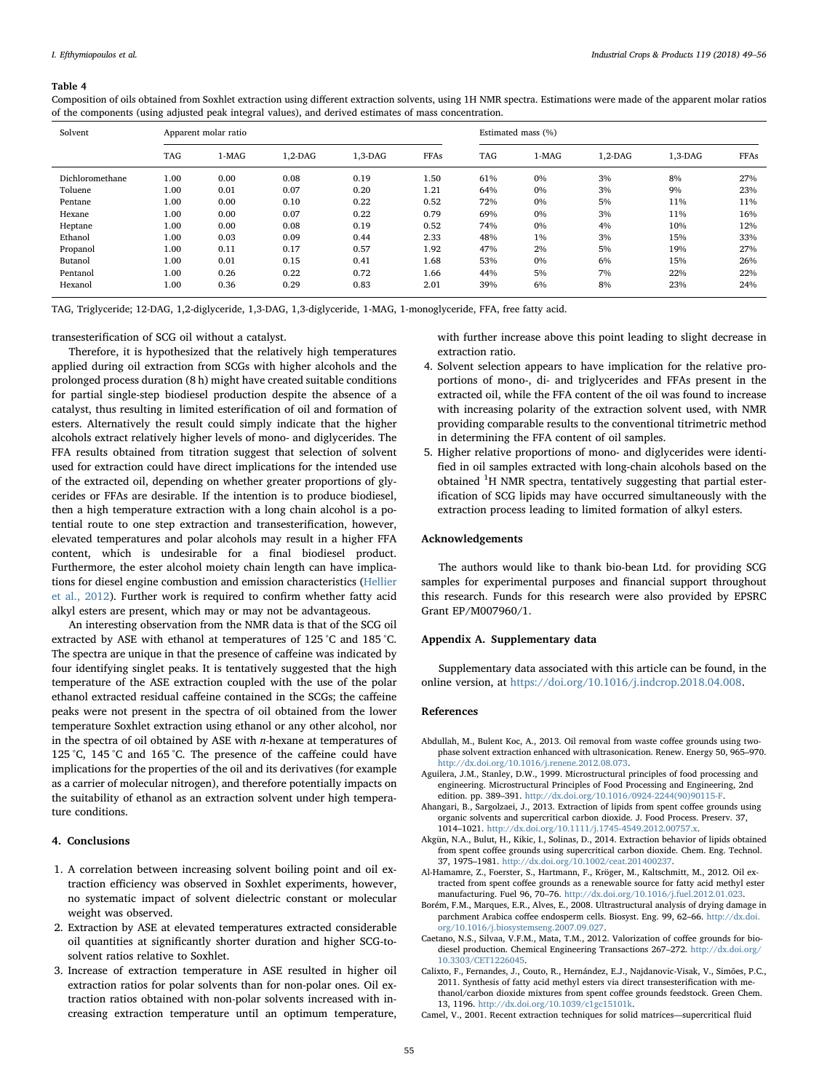#### <span id="page-6-8"></span>Table 4

| Solvent         | Apparent molar ratio |       |           |           | Estimated mass (%) |     |         |           |           |      |
|-----------------|----------------------|-------|-----------|-----------|--------------------|-----|---------|-----------|-----------|------|
|                 | <b>TAG</b>           | 1-MAG | $1,2-DAG$ | $1,3-DAG$ | <b>FFAs</b>        | TAG | $1-MAG$ | $1,2-DAG$ | $1.3-DAG$ | FFAs |
| Dichloromethane | 1.00                 | 0.00  | 0.08      | 0.19      | 1.50               | 61% | 0%      | 3%        | 8%        | 27%  |
| Toluene         | 1.00                 | 0.01  | 0.07      | 0.20      | 1.21               | 64% | 0%      | 3%        | 9%        | 23%  |
| Pentane         | 1.00                 | 0.00  | 0.10      | 0.22      | 0.52               | 72% | 0%      | 5%        | 11%       | 11%  |
| Hexane          | 1.00                 | 0.00  | 0.07      | 0.22      | 0.79               | 69% | 0%      | 3%        | 11%       | 16%  |
| Heptane         | 1.00                 | 0.00  | 0.08      | 0.19      | 0.52               | 74% | $0\%$   | 4%        | 10%       | 12%  |
| Ethanol         | 1.00                 | 0.03  | 0.09      | 0.44      | 2.33               | 48% | $1\%$   | 3%        | 15%       | 33%  |
| Propanol        | 1.00                 | 0.11  | 0.17      | 0.57      | 1.92               | 47% | 2%      | 5%        | 19%       | 27%  |
| Butanol         | 1.00                 | 0.01  | 0.15      | 0.41      | 1.68               | 53% | $0\%$   | 6%        | 15%       | 26%  |
| Pentanol        | 1.00                 | 0.26  | 0.22      | 0.72      | 1.66               | 44% | 5%      | 7%        | 22%       | 22%  |
| Hexanol         | 1.00                 | 0.36  | 0.29      | 0.83      | 2.01               | 39% | 6%      | 8%        | 23%       | 24%  |

Composition of oils obtained from Soxhlet extraction using different extraction solvents, using 1H NMR spectra. Estimations were made of the apparent molar ratios of the components (using adjusted peak integral values), and derived estimates of mass concentration.

TAG, Triglyceride; 12-DAG, 1,2-diglyceride, 1,3-DAG, 1,3-diglyceride, 1-MAG, 1-monoglyceride, FFA, free fatty acid.

transesterification of SCG oil without a catalyst.

Therefore, it is hypothesized that the relatively high temperatures applied during oil extraction from SCGs with higher alcohols and the prolonged process duration (8 h) might have created suitable conditions for partial single-step biodiesel production despite the absence of a catalyst, thus resulting in limited esterification of oil and formation of esters. Alternatively the result could simply indicate that the higher alcohols extract relatively higher levels of mono- and diglycerides. The FFA results obtained from titration suggest that selection of solvent used for extraction could have direct implications for the intended use of the extracted oil, depending on whether greater proportions of glycerides or FFAs are desirable. If the intention is to produce biodiesel, then a high temperature extraction with a long chain alcohol is a potential route to one step extraction and transesterification, however, elevated temperatures and polar alcohols may result in a higher FFA content, which is undesirable for a final biodiesel product. Furthermore, the ester alcohol moiety chain length can have implications for diesel engine combustion and emission characteristics ([Hellier](#page-7-40) [et al., 2012\)](#page-7-40). Further work is required to confirm whether fatty acid alkyl esters are present, which may or may not be advantageous.

An interesting observation from the NMR data is that of the SCG oil extracted by ASE with ethanol at temperatures of 125 °C and 185 °C. The spectra are unique in that the presence of caffeine was indicated by four identifying singlet peaks. It is tentatively suggested that the high temperature of the ASE extraction coupled with the use of the polar ethanol extracted residual caffeine contained in the SCGs; the caffeine peaks were not present in the spectra of oil obtained from the lower temperature Soxhlet extraction using ethanol or any other alcohol, nor in the spectra of oil obtained by ASE with n-hexane at temperatures of 125 °C, 145 °C and 165 °C. The presence of the caffeine could have implications for the properties of the oil and its derivatives (for example as a carrier of molecular nitrogen), and therefore potentially impacts on the suitability of ethanol as an extraction solvent under high temperature conditions.

## 4. Conclusions

- 1. A correlation between increasing solvent boiling point and oil extraction efficiency was observed in Soxhlet experiments, however, no systematic impact of solvent dielectric constant or molecular weight was observed.
- 2. Extraction by ASE at elevated temperatures extracted considerable oil quantities at significantly shorter duration and higher SCG-tosolvent ratios relative to Soxhlet.
- 3. Increase of extraction temperature in ASE resulted in higher oil extraction ratios for polar solvents than for non-polar ones. Oil extraction ratios obtained with non-polar solvents increased with increasing extraction temperature until an optimum temperature,

with further increase above this point leading to slight decrease in extraction ratio.

- 4. Solvent selection appears to have implication for the relative proportions of mono-, di- and triglycerides and FFAs present in the extracted oil, while the FFA content of the oil was found to increase with increasing polarity of the extraction solvent used, with NMR providing comparable results to the conventional titrimetric method in determining the FFA content of oil samples.
- 5. Higher relative proportions of mono- and diglycerides were identified in oil samples extracted with long-chain alcohols based on the obtained <sup>1</sup>H NMR spectra, tentatively suggesting that partial esterification of SCG lipids may have occurred simultaneously with the extraction process leading to limited formation of alkyl esters.

#### Acknowledgements

The authors would like to thank bio-bean Ltd. for providing SCG samples for experimental purposes and financial support throughout this research. Funds for this research were also provided by EPSRC Grant EP/M007960/1.

## Appendix A. Supplementary data

Supplementary data associated with this article can be found, in the online version, at [https://doi.org/10.1016/j.indcrop.2018.04.008.](https://doi.org/10.1016/j.indcrop.2018.04.008)

#### References

- <span id="page-6-3"></span>Abdullah, M., Bulent Koc, A., 2013. Oil removal from waste coffee grounds using twophase solvent extraction enhanced with ultrasonication. Renew. Energy 50, 965–970. [http://dx.doi.org/10.1016/j.renene.2012.08.073.](http://dx.doi.org/10.1016/j.renene.2012.08.073)
- <span id="page-6-6"></span>Aguilera, J.M., Stanley, D.W., 1999. Microstructural principles of food processing and engineering. Microstructural Principles of Food Processing and Engineering, 2nd edition. pp. 389–391. [http://dx.doi.org/10.1016/0924-2244\(90\)90115-F.](http://dx.doi.org/10.1016/0924-2244(90)90115-F)
- <span id="page-6-2"></span>Ahangari, B., Sargolzaei, J., 2013. Extraction of lipids from spent coffee grounds using organic solvents and supercritical carbon dioxide. J. Food Process. Preserv. 37, 1014–1021. [http://dx.doi.org/10.1111/j.1745-4549.2012.00757.x.](http://dx.doi.org/10.1111/j.1745-4549.2012.00757.x)
- <span id="page-6-4"></span>Akgün, N.A., Bulut, H., Kikic, I., Solinas, D., 2014. Extraction behavior of lipids obtained from spent coffee grounds using supercritical carbon dioxide. Chem. Eng. Technol. 37, 1975–1981. [http://dx.doi.org/10.1002/ceat.201400237.](http://dx.doi.org/10.1002/ceat.201400237)
- <span id="page-6-0"></span>Al-Hamamre, Z., Foerster, S., Hartmann, F., Kröger, M., Kaltschmitt, M., 2012. Oil extracted from spent coffee grounds as a renewable source for fatty acid methyl ester manufacturing. Fuel 96, 70–76. [http://dx.doi.org/10.1016/j.fuel.2012.01.023.](http://dx.doi.org/10.1016/j.fuel.2012.01.023)
- <span id="page-6-7"></span>Borém, F.M., Marques, E.R., Alves, E., 2008. Ultrastructural analysis of drying damage in parchment Arabica coffee endosperm cells. Biosyst. Eng. 99, 62–66. [http://dx.doi.](http://dx.doi.org/10.1016/j.biosystemseng.2007.09.027) [org/10.1016/j.biosystemseng.2007.09.027](http://dx.doi.org/10.1016/j.biosystemseng.2007.09.027).
- <span id="page-6-1"></span>Caetano, N.S., Silvaa, V.F.M., Mata, T.M., 2012. Valorization of coffee grounds for biodiesel production. Chemical Engineering Transactions 267–272. [http://dx.doi.org/](http://dx.doi.org/10.3303/CET1226045) [10.3303/CET1226045.](http://dx.doi.org/10.3303/CET1226045)
- <span id="page-6-9"></span>Calixto, F., Fernandes, J., Couto, R., Hernández, E.J., Najdanovic-Visak, V., Simões, P.C., 2011. Synthesis of fatty acid methyl esters via direct transesterification with methanol/carbon dioxide mixtures from spent coffee grounds feedstock. Green Chem. 13, 1196. <http://dx.doi.org/10.1039/c1gc15101k>.
- <span id="page-6-5"></span>Camel, V., 2001. Recent extraction techniques for solid matrices—supercritical fluid